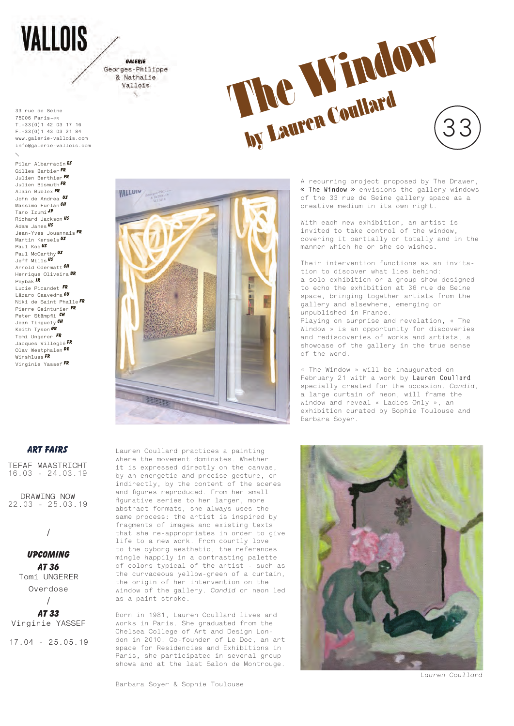**VALLOIS** 

GALERIE Georges-Philippe & Nathalie Vallois

**33 rue de Seine 75006 Paris — FR T.+33(0)1 42 03 17 16 F.+33(0)1 43 03 21 84 www.galerie-vallois.com info@galerie-vallois.com**

**Pilar Albarracín ES Gilles Barbier FR Julien Berthier FR Julien Bismuth FR Alain Bublex FR John de Andrea US Massimo Furlan CH Taro Izumi JP Richard Jackson US Adam Janes US Jean-Yves Jouannais FR Martin Kersels US Paul Kos US Paul McCarthy US Jeff Mills US Arnold Odermatt CH Henrique Oliveira BR Peybak ir Lucie Picandet FR Lázaro Saavedra CU Niki de Saint Phalle FR Pierre Seinturier FR Peter Stämpfl i ch Jean Tinguely ch Keith Tyson GB Tomi Ungerer fr Jacques Villeglé FR Olav Westphalen De Winshluss FR Virginie Yassef FR**





A recurring project proposed by The Drawer, **« The Window »** envisions the gallery windows of the 33 rue de Seine gallery space as a creative medium in its own right.

With each new exhibition, an artist is invited to take control of the window, covering it partially or totally and in the manner which he or she so wishes.

Their intervention functions as an invitation to discover what lies behind: a solo exhibition or a group show designed to echo the exhibition at 36 rue de Seine space, bringing together artists from the gallery and elsewhere, emerging or unpublished in France.

Playing on surprise and revelation, « The Window » is an opportunity for discoveries and rediscoveries of works and artists, a showcase of the gallery in the true sense of the word.

« The Window » will be inaugurated on February 21 with a work by **Lauren Coullard** specially created for the occasion. *Candid*, a large curtain of neon, will frame the window and reveal « Ladies Only », an exhibition curated by Sophie Toulouse and Barbara Soyer.

## **ART FAIRS**

**TEFAF MAASTRICHT** 16.03 - 24.03.19

**DRAWING NOW** 22.03 - 25.03.19

/

**Upcoming at 36 Tomi UNGERER Overdose**

**at 33 Virginie YASSEF**

/

**17.04 - 25.05.19**

Lauren Coullard practices a painting where the movement dominates. Whether it is expressed directly on the canvas, by an energetic and precise gesture, or indirectly, by the content of the scenes and figures reproduced. From her small figurative series to her larger, more abstract formats, she always uses the same process: the artist is inspired by fragments of images and existing texts that she re-appropriates in order to give life to a new work. From courtly love to the cyborg aesthetic, the references mingle happily in a contrasting palette of colors typical of the artist - such as the curvaceous yellow-green of a curtain, the origin of her intervention on the window of the gallery. *Candid* or neon led as a paint stroke.

Born in 1981, Lauren Coullard lives and works in Paris. She graduated from the Chelsea College of Art and Design London in 2010. Co-founder of Le Doc, an art space for Residencies and Exhibitions in Paris, she participated in several group shows and at the last Salon de Montrouge.

*Lauren Coullard*

Barbara Soyer & Sophie Toulouse